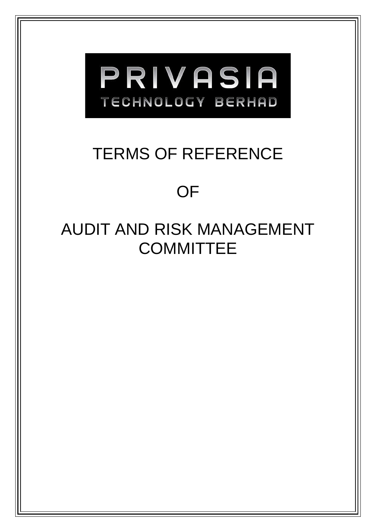

# TERMS OF REFERENCE

# OF

# AUDIT AND RISK MANAGEMENT **COMMITTEE**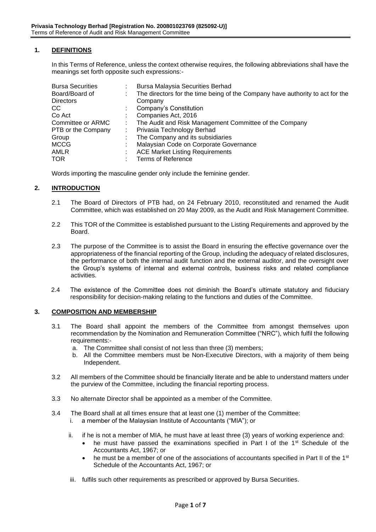# **1. DEFINITIONS**

In this Terms of Reference, unless the context otherwise requires, the following abbreviations shall have the meanings set forth opposite such expressions:-

| <b>Bursa Securities</b> | <b>Bursa Malaysia Securities Berhad</b>                                       |
|-------------------------|-------------------------------------------------------------------------------|
| Board/Board of          | The directors for the time being of the Company have authority to act for the |
| <b>Directors</b>        | Company                                                                       |
| CС                      | Company's Constitution                                                        |
| Co Act                  | Companies Act, 2016                                                           |
| Committee or ARMC       | The Audit and Risk Management Committee of the Company                        |
| PTB or the Company      | Privasia Technology Berhad                                                    |
| Group                   | The Company and its subsidiaries                                              |
| MCCG                    | Malaysian Code on Corporate Governance                                        |
| AMLR                    | <b>ACE Market Listing Requirements</b>                                        |
| TOR                     | <b>Terms of Reference</b>                                                     |

Words importing the masculine gender only include the feminine gender.

#### **2. INTRODUCTION**

- 2.1 The Board of Directors of PTB had, on 24 February 2010, reconstituted and renamed the Audit Committee, which was established on 20 May 2009, as the Audit and Risk Management Committee.
- 2.2 This TOR of the Committee is established pursuant to the Listing Requirements and approved by the Board.
- 2.3 The purpose of the Committee is to assist the Board in ensuring the effective governance over the appropriateness of the financial reporting of the Group, including the adequacy of related disclosures, the performance of both the internal audit function and the external auditor, and the oversight over the Group's systems of internal and external controls, business risks and related compliance activities.
- 2.4 The existence of the Committee does not diminish the Board's ultimate statutory and fiduciary responsibility for decision-making relating to the functions and duties of the Committee.

#### **3. COMPOSITION AND MEMBERSHIP**

- 3.1 The Board shall appoint the members of the Committee from amongst themselves upon recommendation by the Nomination and Remuneration Committee ("NRC"), which fulfil the following requirements:
	- a. The Committee shall consist of not less than three (3) members;
	- b. All the Committee members must be Non-Executive Directors, with a majority of them being Independent.
- 3.2 All members of the Committee should be financially literate and be able to understand matters under the purview of the Committee, including the financial reporting process.
- 3.3 No alternate Director shall be appointed as a member of the Committee.
- 3.4 The Board shall at all times ensure that at least one (1) member of the Committee:
	- i. a member of the Malaysian Institute of Accountants ("MIA"); or
	- ii. if he is not a member of MIA, he must have at least three (3) years of working experience and:
		- he must have passed the examinations specified in Part I of the 1<sup>st</sup> Schedule of the Accountants Act, 1967; or
		- he must be a member of one of the associations of accountants specified in Part II of the  $1<sup>st</sup>$ Schedule of the Accountants Act, 1967; or
	- iii. fulfils such other requirements as prescribed or approved by Bursa Securities.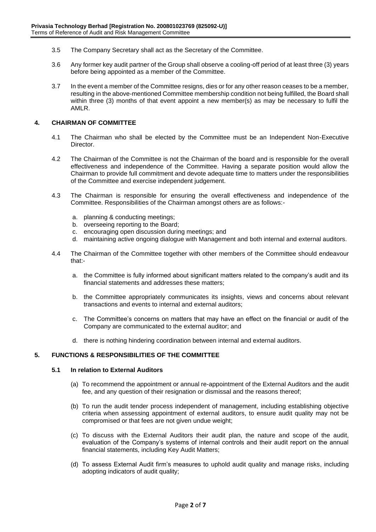- 3.5 The Company Secretary shall act as the Secretary of the Committee.
- 3.6 Any former key audit partner of the Group shall observe a cooling-off period of at least three (3) years before being appointed as a member of the Committee.
- 3.7 In the event a member of the Committee resigns, dies or for any other reason ceases to be a member, resulting in the above-mentioned Committee membership condition not being fulfilled, the Board shall within three (3) months of that event appoint a new member(s) as may be necessary to fulfil the AMLR.

## **4. CHAIRMAN OF COMMITTEE**

- 4.1 The Chairman who shall be elected by the Committee must be an Independent Non-Executive Director.
- 4.2 The Chairman of the Committee is not the Chairman of the board and is responsible for the overall effectiveness and independence of the Committee. Having a separate position would allow the Chairman to provide full commitment and devote adequate time to matters under the responsibilities of the Committee and exercise independent judgement.
- 4.3 The Chairman is responsible for ensuring the overall effectiveness and independence of the Committee. Responsibilities of the Chairman amongst others are as follows:
	- a. planning & conducting meetings;
	- b. overseeing reporting to the Board;
	- c. encouraging open discussion during meetings; and
	- d. maintaining active ongoing dialogue with Management and both internal and external auditors.
- 4.4 The Chairman of the Committee together with other members of the Committee should endeavour that:
	- a. the Committee is fully informed about significant matters related to the company's audit and its financial statements and addresses these matters;
	- b. the Committee appropriately communicates its insights, views and concerns about relevant transactions and events to internal and external auditors;
	- c. The Committee's concerns on matters that may have an effect on the financial or audit of the Company are communicated to the external auditor; and
	- d. there is nothing hindering coordination between internal and external auditors.

# **5. FUNCTIONS & RESPONSIBILITIES OF THE COMMITTEE**

# **5.1 In relation to External Auditors**

- (a) To recommend the appointment or annual re-appointment of the External Auditors and the audit fee, and any question of their resignation or dismissal and the reasons thereof;
- (b) To run the audit tender process independent of management, including establishing objective criteria when assessing appointment of external auditors, to ensure audit quality may not be compromised or that fees are not given undue weight;
- (c) To discuss with the External Auditors their audit plan, the nature and scope of the audit, evaluation of the Company's systems of internal controls and their audit report on the annual financial statements, including Key Audit Matters;
- (d) To assess External Audit firm's measures to uphold audit quality and manage risks, including adopting indicators of audit quality;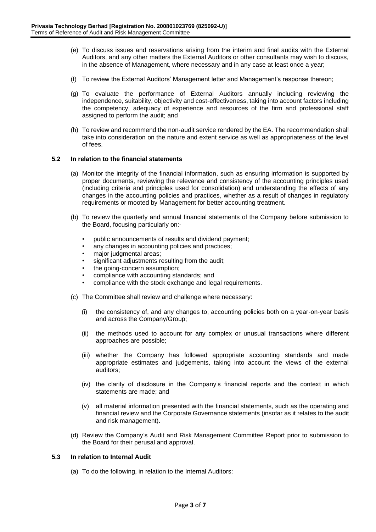- (e) To discuss issues and reservations arising from the interim and final audits with the External Auditors, and any other matters the External Auditors or other consultants may wish to discuss, in the absence of Management, where necessary and in any case at least once a year;
- (f) To review the External Auditors' Management letter and Management's response thereon;
- (g) To evaluate the performance of External Auditors annually including reviewing the independence, suitability, objectivity and cost-effectiveness, taking into account factors including the competency, adequacy of experience and resources of the firm and professional staff assigned to perform the audit; and
- (h) To review and recommend the non-audit service rendered by the EA. The recommendation shall take into consideration on the nature and extent service as well as appropriateness of the level of fees.

## **5.2 In relation to the financial statements**

- (a) Monitor the integrity of the financial information, such as ensuring information is supported by proper documents, reviewing the relevance and consistency of the accounting principles used (including criteria and principles used for consolidation) and understanding the effects of any changes in the accounting policies and practices, whether as a result of changes in regulatory requirements or mooted by Management for better accounting treatment.
- (b) To review the quarterly and annual financial statements of the Company before submission to the Board, focusing particularly on:-
	- public announcements of results and dividend payment;
	- any changes in accounting policies and practices;
	- major judgmental areas:
	- significant adjustments resulting from the audit;
	- the going-concern assumption;
	- compliance with accounting standards; and
	- compliance with the stock exchange and legal requirements.
- (c) The Committee shall review and challenge where necessary:
	- (i) the consistency of, and any changes to, accounting policies both on a year-on-year basis and across the Company/Group;
	- (ii) the methods used to account for any complex or unusual transactions where different approaches are possible;
	- (iii) whether the Company has followed appropriate accounting standards and made appropriate estimates and judgements, taking into account the views of the external auditors;
	- (iv) the clarity of disclosure in the Company's financial reports and the context in which statements are made; and
	- (v) all material information presented with the financial statements, such as the operating and financial review and the Corporate Governance statements (insofar as it relates to the audit and risk management).
- (d) Review the Company's Audit and Risk Management Committee Report prior to submission to the Board for their perusal and approval.

## **5.3 In relation to Internal Audit**

(a) To do the following, in relation to the Internal Auditors: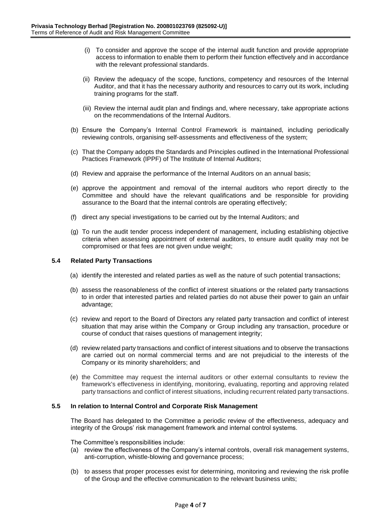- (i) To consider and approve the scope of the internal audit function and provide appropriate access to information to enable them to perform their function effectively and in accordance with the relevant professional standards.
- (ii) Review the adequacy of the scope, functions, competency and resources of the Internal Auditor, and that it has the necessary authority and resources to carry out its work, including training programs for the staff.
- (iii) Review the internal audit plan and findings and, where necessary, take appropriate actions on the recommendations of the Internal Auditors.
- (b) Ensure the Company's Internal Control Framework is maintained, including periodically reviewing controls, organising self-assessments and effectiveness of the system;
- (c) That the Company adopts the Standards and Principles outlined in the International Professional Practices Framework (IPPF) of The Institute of Internal Auditors;
- (d) Review and appraise the performance of the Internal Auditors on an annual basis;
- (e) approve the appointment and removal of the internal auditors who report directly to the Committee and should have the relevant qualifications and be responsible for providing assurance to the Board that the internal controls are operating effectively;
- (f) direct any special investigations to be carried out by the Internal Auditors; and
- (g) To run the audit tender process independent of management, including establishing objective criteria when assessing appointment of external auditors, to ensure audit quality may not be compromised or that fees are not given undue weight;

#### **5.4 Related Party Transactions**

- (a) identify the interested and related parties as well as the nature of such potential transactions;
- (b) assess the reasonableness of the conflict of interest situations or the related party transactions to in order that interested parties and related parties do not abuse their power to gain an unfair advantage;
- (c) review and report to the Board of Directors any related party transaction and conflict of interest situation that may arise within the Company or Group including any transaction, procedure or course of conduct that raises questions of management integrity;
- (d) review related party transactions and conflict of interest situations and to observe the transactions are carried out on normal commercial terms and are not prejudicial to the interests of the Company or its minority shareholders; and
- (e) the Committee may request the internal auditors or other external consultants to review the framework's effectiveness in identifying, monitoring, evaluating, reporting and approving related party transactions and conflict of interest situations, including recurrent related party transactions.

#### **5.5 In relation to Internal Control and Corporate Risk Management**

The Board has delegated to the Committee a periodic review of the effectiveness, adequacy and integrity of the Groups' risk management framework and internal control systems.

The Committee's responsibilities include:

- (a) review the effectiveness of the Company's internal controls, overall risk management systems, anti-corruption, whistle-blowing and governance process;
- (b) to assess that proper processes exist for determining, monitoring and reviewing the risk profile of the Group and the effective communication to the relevant business units;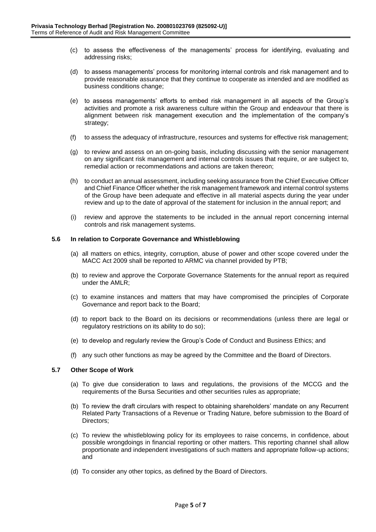- (c) to assess the effectiveness of the managements' process for identifying, evaluating and addressing risks;
- (d) to assess managements' process for monitoring internal controls and risk management and to provide reasonable assurance that they continue to cooperate as intended and are modified as business conditions change;
- (e) to assess managements' efforts to embed risk management in all aspects of the Group's activities and promote a risk awareness culture within the Group and endeavour that there is alignment between risk management execution and the implementation of the company's strategy;
- (f) to assess the adequacy of infrastructure, resources and systems for effective risk management;
- (g) to review and assess on an on-going basis, including discussing with the senior management on any significant risk management and internal controls issues that require, or are subject to, remedial action or recommendations and actions are taken thereon;
- (h) to conduct an annual assessment, including seeking assurance from the Chief Executive Officer and Chief Finance Officer whether the risk management framework and internal control systems of the Group have been adequate and effective in all material aspects during the year under review and up to the date of approval of the statement for inclusion in the annual report; and
- (i) review and approve the statements to be included in the annual report concerning internal controls and risk management systems.

## **5.6 In relation to Corporate Governance and Whistleblowing**

- (a) all matters on ethics, integrity, corruption, abuse of power and other scope covered under the MACC Act 2009 shall be reported to ARMC via channel provided by PTB;
- (b) to review and approve the Corporate Governance Statements for the annual report as required under the AMLR;
- (c) to examine instances and matters that may have compromised the principles of Corporate Governance and report back to the Board;
- (d) to report back to the Board on its decisions or recommendations (unless there are legal or regulatory restrictions on its ability to do so);
- (e) to develop and regularly review the Group's Code of Conduct and Business Ethics; and
- (f) any such other functions as may be agreed by the Committee and the Board of Directors.

#### **5.7 Other Scope of Work**

- (a) To give due consideration to laws and regulations, the provisions of the MCCG and the requirements of the Bursa Securities and other securities rules as appropriate;
- (b) To review the draft circulars with respect to obtaining shareholders' mandate on any Recurrent Related Party Transactions of a Revenue or Trading Nature, before submission to the Board of Directors;
- (c) To review the whistleblowing policy for its employees to raise concerns, in confidence, about possible wrongdoings in financial reporting or other matters. This reporting channel shall allow proportionate and independent investigations of such matters and appropriate follow-up actions; and
- (d) To consider any other topics, as defined by the Board of Directors.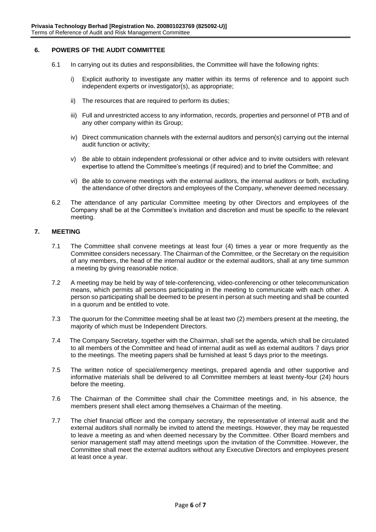## **6. POWERS OF THE AUDIT COMMITTEE**

- 6.1 In carrying out its duties and responsibilities, the Committee will have the following rights:
	- i) Explicit authority to investigate any matter within its terms of reference and to appoint such independent experts or investigator(s), as appropriate;
	- ii) The resources that are required to perform its duties;
	- iii) Full and unrestricted access to any information, records, properties and personnel of PTB and of any other company within its Group;
	- iv) Direct communication channels with the external auditors and person(s) carrying out the internal audit function or activity;
	- v) Be able to obtain independent professional or other advice and to invite outsiders with relevant expertise to attend the Committee's meetings (if required) and to brief the Committee; and
	- vi) Be able to convene meetings with the external auditors, the internal auditors or both, excluding the attendance of other directors and employees of the Company, whenever deemed necessary.
- 6.2 The attendance of any particular Committee meeting by other Directors and employees of the Company shall be at the Committee's invitation and discretion and must be specific to the relevant meeting.

## **7. MEETING**

- 7.1 The Committee shall convene meetings at least four (4) times a year or more frequently as the Committee considers necessary. The Chairman of the Committee, or the Secretary on the requisition of any members, the head of the internal auditor or the external auditors, shall at any time summon a meeting by giving reasonable notice.
- 7.2 A meeting may be held by way of tele-conferencing, video-conferencing or other telecommunication means, which permits all persons participating in the meeting to communicate with each other. A person so participating shall be deemed to be present in person at such meeting and shall be counted in a quorum and be entitled to vote.
- 7.3 The quorum for the Committee meeting shall be at least two (2) members present at the meeting, the majority of which must be Independent Directors.
- 7.4 The Company Secretary, together with the Chairman, shall set the agenda, which shall be circulated to all members of the Committee and head of internal audit as well as external auditors 7 days prior to the meetings. The meeting papers shall be furnished at least 5 days prior to the meetings.
- 7.5 The written notice of special/emergency meetings, prepared agenda and other supportive and informative materials shall be delivered to all Committee members at least twenty-four (24) hours before the meeting.
- 7.6 The Chairman of the Committee shall chair the Committee meetings and, in his absence, the members present shall elect among themselves a Chairman of the meeting.
- 7.7 The chief financial officer and the company secretary, the representative of internal audit and the external auditors shall normally be invited to attend the meetings. However, they may be requested to leave a meeting as and when deemed necessary by the Committee. Other Board members and senior management staff may attend meetings upon the invitation of the Committee. However, the Committee shall meet the external auditors without any Executive Directors and employees present at least once a year.